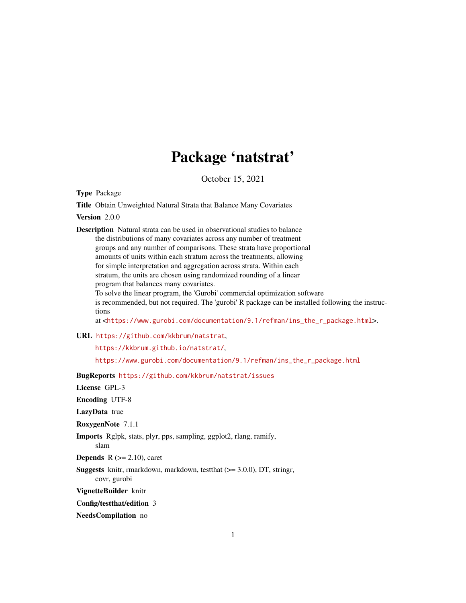# Package 'natstrat'

October 15, 2021

<span id="page-0-0"></span>Type Package

Title Obtain Unweighted Natural Strata that Balance Many Covariates

Version 2.0.0

Description Natural strata can be used in observational studies to balance the distributions of many covariates across any number of treatment groups and any number of comparisons. These strata have proportional amounts of units within each stratum across the treatments, allowing for simple interpretation and aggregation across strata. Within each stratum, the units are chosen using randomized rounding of a linear program that balances many covariates.

To solve the linear program, the 'Gurobi' commercial optimization software is recommended, but not required. The 'gurobi' R package can be installed following the instructions

at <[https://www.gurobi.com/documentation/9.1/refman/ins\\_the\\_r\\_package.html](https://www.gurobi.com/documentation/9.1/refman/ins_the_r_package.html)>.

URL <https://github.com/kkbrum/natstrat>,

<https://kkbrum.github.io/natstrat/>,

[https://www.gurobi.com/documentation/9.1/refman/ins\\_the\\_r\\_package.html](https://www.gurobi.com/documentation/9.1/refman/ins_the_r_package.html)

BugReports <https://github.com/kkbrum/natstrat/issues>

License GPL-3

Encoding UTF-8

LazyData true

RoxygenNote 7.1.1

Imports Rglpk, stats, plyr, pps, sampling, ggplot2, rlang, ramify, slam

**Depends**  $R$  ( $>= 2.10$ ), caret

Suggests knitr, rmarkdown, markdown, testthat (>= 3.0.0), DT, stringr, covr, gurobi

VignetteBuilder knitr

Config/testthat/edition 3

NeedsCompilation no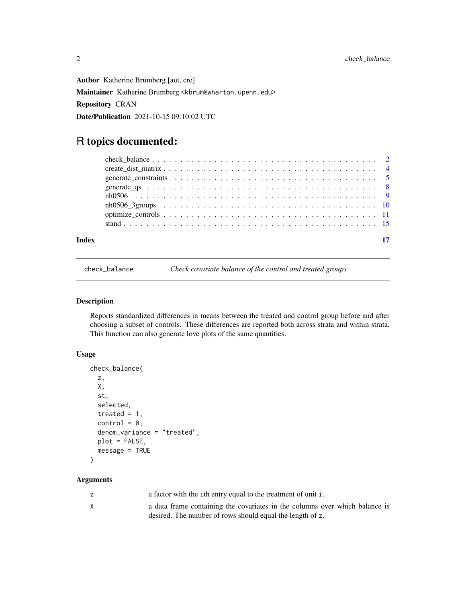<span id="page-1-0"></span>Author Katherine Brumberg [aut, cre] Maintainer Katherine Brumberg <kbrum@wharton.upenn.edu> Repository CRAN Date/Publication 2021-10-15 09:10:02 UTC

## R topics documented:

<span id="page-1-1"></span>check\_balance *Check covariate balance of the control and treated groups*

#### Description

Reports standardized differences in means between the treated and control group before and after choosing a subset of controls. These differences are reported both across strata and within strata. This function can also generate love plots of the same quantities.

#### Usage

```
check_balance(
  z,
 X,
  st,
  selected,
  treated = 1,
  control = 0,denom_variance = "treated",
 plot = FALSE,
 message = TRUE
)
```
#### Arguments

|   | a factor with the ith entry equal to the treatment of unit i.               |
|---|-----------------------------------------------------------------------------|
| X | a data frame containing the covariates in the columns over which balance is |
|   | desired. The number of rows should equal the length of z.                   |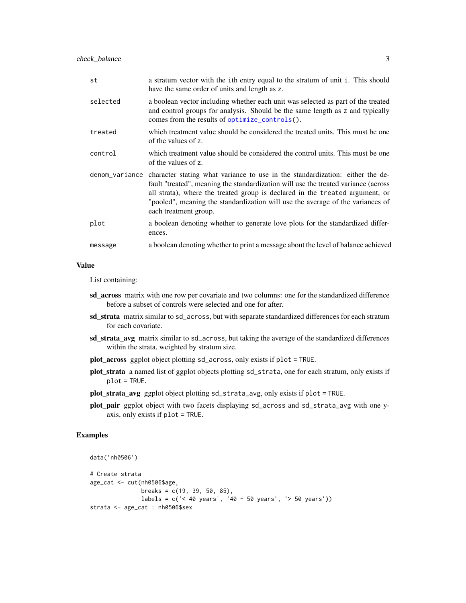<span id="page-2-0"></span>

| st       | a stratum vector with the ith entry equal to the stratum of unit i. This should<br>have the same order of units and length as z.                                                                                                                                                                                                                                              |
|----------|-------------------------------------------------------------------------------------------------------------------------------------------------------------------------------------------------------------------------------------------------------------------------------------------------------------------------------------------------------------------------------|
| selected | a boolean vector including whether each unit was selected as part of the treated<br>and control groups for analysis. Should be the same length as z and typically<br>comes from the results of optimize_controls().                                                                                                                                                           |
| treated  | which treatment value should be considered the treated units. This must be one<br>of the values of z.                                                                                                                                                                                                                                                                         |
| control  | which treatment value should be considered the control units. This must be one<br>of the values of z.                                                                                                                                                                                                                                                                         |
|          | denom variance character stating what variance to use in the standardization: either the de-<br>fault "treated", meaning the standardization will use the treated variance (across<br>all strata), where the treated group is declared in the treated argument, or<br>"pooled", meaning the standardization will use the average of the variances of<br>each treatment group. |
| plot     | a boolean denoting whether to generate love plots for the standardized differ-<br>ences.                                                                                                                                                                                                                                                                                      |
| message  | a boolean denoting whether to print a message about the level of balance achieved                                                                                                                                                                                                                                                                                             |

#### Value

List containing:

- sd\_across matrix with one row per covariate and two columns: one for the standardized difference before a subset of controls were selected and one for after.
- sd\_strata matrix similar to sd\_across, but with separate standardized differences for each stratum for each covariate.
- sd\_strata\_avg matrix similar to sd\_across, but taking the average of the standardized differences within the strata, weighted by stratum size.
- plot\_across ggplot object plotting sd\_across, only exists if plot = TRUE.
- plot\_strata a named list of ggplot objects plotting sd\_strata, one for each stratum, only exists if plot = TRUE.
- plot\_strata\_avg ggplot object plotting sd\_strata\_avg, only exists if plot = TRUE.
- plot\_pair ggplot object with two facets displaying sd\_across and sd\_strata\_avg with one yaxis, only exists if plot = TRUE.

#### Examples

```
data('nh0506')
# Create strata
age_cat <- cut(nh0506$age,
              breaks = c(19, 39, 50, 85),
              labels = c('< 40 years', '40 - 50 years', '> 50 years'))
strata <- age_cat : nh0506$sex
```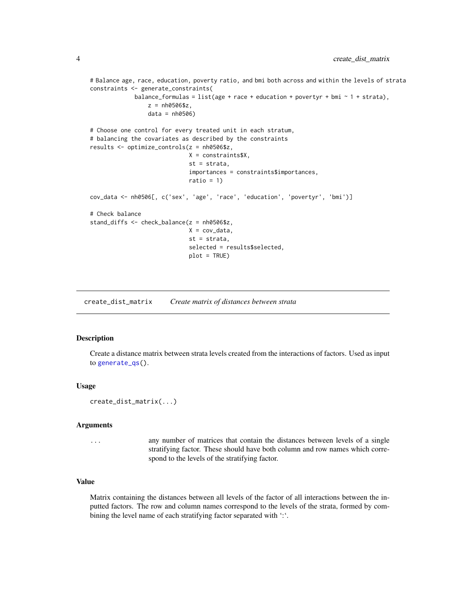```
# Balance age, race, education, poverty ratio, and bmi both across and within the levels of strata
constraints <- generate_constraints(
             balance_formulas = list(age + race + education + povertyr + bmi \sim 1 + strata),
                 z = nh0506$z,
                 data = nh0506)# Choose one control for every treated unit in each stratum,
# balancing the covariates as described by the constraints
results <- optimize_controls(z = nh0506$z,
                             X = constraints$X,
                             st = strata,
                             importances = constraints$importances,
                             ratio = 1)
cov_data <- nh0506[, c('sex', 'age', 'race', 'education', 'povertyr', 'bmi')]
# Check balance
stand_diffs <- check_balance(z = nh0506$z,
                             X = cov_data,st = strata,
                             selected = results$selected,
                             plot = TRUE)
```
create\_dist\_matrix *Create matrix of distances between strata*

#### Description

Create a distance matrix between strata levels created from the interactions of factors. Used as input to [generate\\_qs\(](#page-7-1)).

#### Usage

```
create_dist_matrix(...)
```
#### **Arguments**

... any number of matrices that contain the distances between levels of a single stratifying factor. These should have both column and row names which correspond to the levels of the stratifying factor.

#### Value

Matrix containing the distances between all levels of the factor of all interactions between the inputted factors. The row and column names correspond to the levels of the strata, formed by combining the level name of each stratifying factor separated with ":".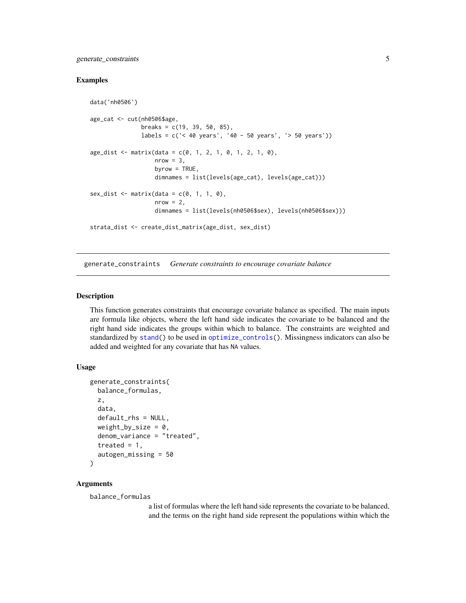<span id="page-4-0"></span>generate\_constraints 5

#### Examples

```
data('nh0506')
age_cat <- cut(nh0506$age,
               breaks = c(19, 39, 50, 85),
               labels = c('< 40 years', '40 - 50 years', '> 50 years'))
age\_dist \leq maxrix(data = c(0, 1, 2, 1, 0, 1, 2, 1, 0),nrow = 3,
                   byrow = TRUE,
                   dimnames = list(levels(age_cat), levels(age_cat)))
sex\_dist \leq \text{matrix(data = } c(0, 1, 1, 0),nrow = 2,
                   dimnames = list(levels(nh0506$sex), levels(nh0506$sex)))
strata_dist <- create_dist_matrix(age_dist, sex_dist)
```
<span id="page-4-1"></span>generate\_constraints *Generate constraints to encourage covariate balance*

#### Description

This function generates constraints that encourage covariate balance as specified. The main inputs are formula like objects, where the left hand side indicates the covariate to be balanced and the right hand side indicates the groups within which to balance. The constraints are weighted and standardized by [stand\(](#page-14-1)) to be used in [optimize\\_controls\(](#page-10-1)). Missingness indicators can also be added and weighted for any covariate that has NA values.

#### Usage

```
generate_constraints(
 balance_formulas,
  z,
  data,
  default_rhs = NULL,
 weight_by_size = 0,
  denom_variance = "treated",
  treated = 1,
  autogen_missing = 50
)
```
#### Arguments

balance\_formulas

a list of formulas where the left hand side represents the covariate to be balanced, and the terms on the right hand side represent the populations within which the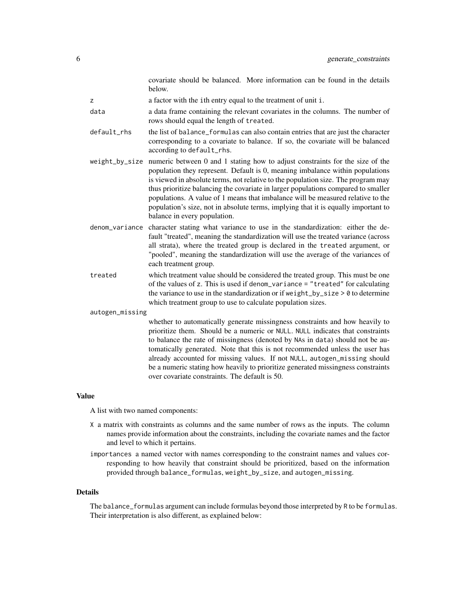covariate should be balanced. More information can be found in the details below.

z a factor with the ith entry equal to the treatment of unit i.

- data a data frame containing the relevant covariates in the columns. The number of rows should equal the length of treated.
- default\_rhs the list of balance\_formulas can also contain entries that are just the character corresponding to a covariate to balance. If so, the covariate will be balanced according to default\_rhs.
- weight\_by\_size numeric between 0 and 1 stating how to adjust constraints for the size of the population they represent. Default is 0, meaning imbalance within populations is viewed in absolute terms, not relative to the population size. The program may thus prioritize balancing the covariate in larger populations compared to smaller populations. A value of 1 means that imbalance will be measured relative to the population's size, not in absolute terms, implying that it is equally important to balance in every population.
- denom\_variance character stating what variance to use in the standardization: either the default "treated", meaning the standardization will use the treated variance (across all strata), where the treated group is declared in the treated argument, or "pooled", meaning the standardization will use the average of the variances of each treatment group.
- treated which treatment value should be considered the treated group. This must be one of the values of z. This is used if denom\_variance = "treated" for calculating the variance to use in the standardization or if we ight\_by\_size  $> 0$  to determine which treatment group to use to calculate population sizes.

autogen\_missing

whether to automatically generate missingness constraints and how heavily to prioritize them. Should be a numeric or NULL. NULL indicates that constraints to balance the rate of missingness (denoted by NAs in data) should not be automatically generated. Note that this is not recommended unless the user has already accounted for missing values. If not NULL, autogen\_missing should be a numeric stating how heavily to prioritize generated missingness constraints over covariate constraints. The default is 50.

#### Value

A list with two named components:

- X a matrix with constraints as columns and the same number of rows as the inputs. The column names provide information about the constraints, including the covariate names and the factor and level to which it pertains.
- importances a named vector with names corresponding to the constraint names and values corresponding to how heavily that constraint should be prioritized, based on the information provided through balance\_formulas, weight\_by\_size, and autogen\_missing.

#### Details

The balance\_formulas argument can include formulas beyond those interpreted by R to be formulas. Their interpretation is also different, as explained below: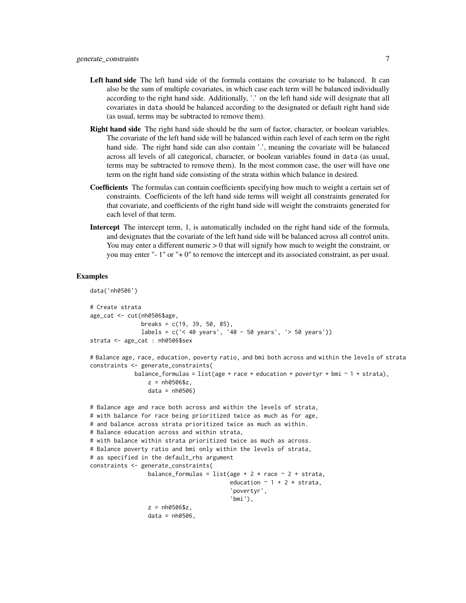- Left hand side The left hand side of the formula contains the covariate to be balanced. It can also be the sum of multiple covariates, in which case each term will be balanced individually according to the right hand side. Additionally, '.' on the left hand side will designate that all covariates in data should be balanced according to the designated or default right hand side (as usual, terms may be subtracted to remove them).
- Right hand side The right hand side should be the sum of factor, character, or boolean variables. The covariate of the left hand side will be balanced within each level of each term on the right hand side. The right hand side can also contain '.', meaning the covariate will be balanced across all levels of all categorical, character, or boolean variables found in data (as usual, terms may be subtracted to remove them). In the most common case, the user will have one term on the right hand side consisting of the strata within which balance in desired.
- Coefficients The formulas can contain coefficients specifying how much to weight a certain set of constraints. Coefficients of the left hand side terms will weight all constraints generated for that covariate, and coefficients of the right hand side will weight the constraints generated for each level of that term.
- Intercept The intercept term, 1, is automatically included on the right hand side of the formula, and designates that the covariate of the left hand side will be balanced across all control units. You may enter a different numeric  $> 0$  that will signify how much to weight the constraint, or you may enter "- 1" or "+ 0" to remove the intercept and its associated constraint, as per usual.

#### Examples

```
data('nh0506')
# Create strata
age_cat <- cut(nh0506$age,
               breaks = c(19, 39, 50, 85),
               labels = c('< 40 years', '40 - 50 years', '> 50 years'))
strata <- age_cat : nh0506$sex
# Balance age, race, education, poverty ratio, and bmi both across and within the levels of strata
constraints <- generate_constraints(
             balance_formulas = list(age + race + education + povertyr + bmi \sim 1 + strata),
                 z = nh0506$z,
                 data = nh0506)# Balance age and race both across and within the levels of strata,
# with balance for race being prioritized twice as much as for age,
# and balance across strata prioritized twice as much as within.
# Balance education across and within strata,
# with balance within strata prioritized twice as much as across.
# Balance poverty ratio and bmi only within the levels of strata,
# as specified in the default_rhs argument
constraints <- generate_constraints(
                 balance_formulas = list(age + 2 * race \sim 2 + strata,
                                          education \sim 1 + 2 \star strata,
                                          'povertyr',
                                          'bmi'),
                 z = nh0506$z,
                 data = nh0506,
```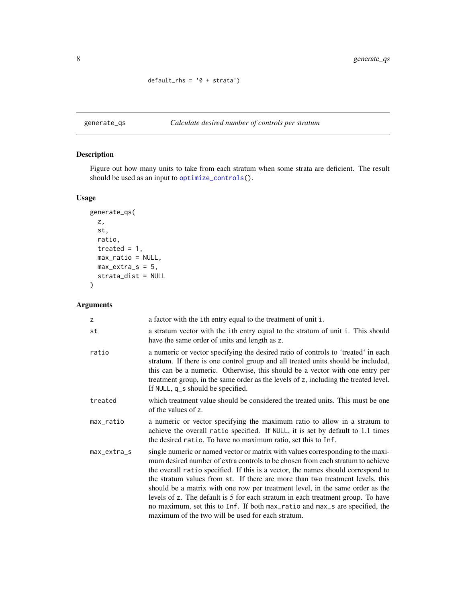$default_{rhs} = '0 + strata')$ 

<span id="page-7-1"></span><span id="page-7-0"></span>generate\_qs *Calculate desired number of controls per stratum*

### Description

Figure out how many units to take from each stratum when some strata are deficient. The result should be used as an input to [optimize\\_controls\(](#page-10-1)).

### Usage

```
generate_qs(
 z,
 st,
 ratio,
  treated = 1,
 max_ratio = NULL,
 max\_extra_s = 5,
 strata_dist = NULL
)
```
#### Arguments

| z           | a factor with the ith entry equal to the treatment of unit i.                                                                                                                                                                                                                                                                                                                                                                                                                                                                                                                                                                                  |
|-------------|------------------------------------------------------------------------------------------------------------------------------------------------------------------------------------------------------------------------------------------------------------------------------------------------------------------------------------------------------------------------------------------------------------------------------------------------------------------------------------------------------------------------------------------------------------------------------------------------------------------------------------------------|
| st          | a stratum vector with the ith entry equal to the stratum of unit i. This should<br>have the same order of units and length as z.                                                                                                                                                                                                                                                                                                                                                                                                                                                                                                               |
| ratio       | a numeric or vector specifying the desired ratio of controls to 'treated' in each<br>stratum. If there is one control group and all treated units should be included,<br>this can be a numeric. Otherwise, this should be a vector with one entry per<br>treatment group, in the same order as the levels of z, including the treated level.<br>If NULL, q_s should be specified.                                                                                                                                                                                                                                                              |
| treated     | which treatment value should be considered the treated units. This must be one<br>of the values of z.                                                                                                                                                                                                                                                                                                                                                                                                                                                                                                                                          |
| max_ratio   | a numeric or vector specifying the maximum ratio to allow in a stratum to<br>achieve the overall ratio specified. If NULL, it is set by default to 1.1 times<br>the desired ratio. To have no maximum ratio, set this to Inf.                                                                                                                                                                                                                                                                                                                                                                                                                  |
| max_extra_s | single numeric or named vector or matrix with values corresponding to the maxi-<br>mum desired number of extra controls to be chosen from each stratum to achieve<br>the overall ratio specified. If this is a vector, the names should correspond to<br>the stratum values from st. If there are more than two treatment levels, this<br>should be a matrix with one row per treatment level, in the same order as the<br>levels of z. The default is 5 for each stratum in each treatment group. To have<br>no maximum, set this to Inf. If both max_ratio and max_s are specified, the<br>maximum of the two will be used for each stratum. |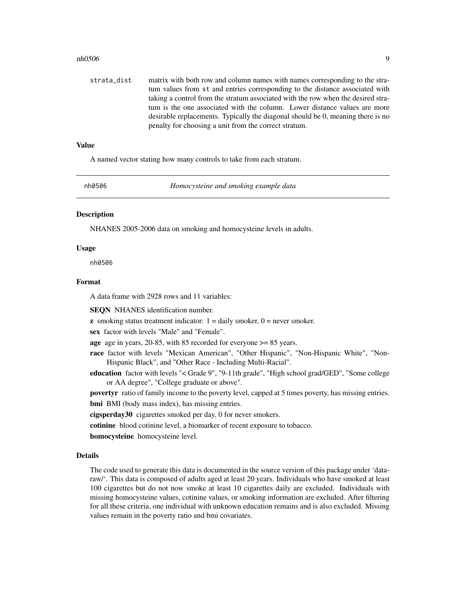#### <span id="page-8-0"></span>nh0506 9

strata\_dist matrix with both row and column names with names corresponding to the stratum values from st and entries corresponding to the distance associated with taking a control from the stratum associated with the row when the desired stratum is the one associated with the column. Lower distance values are more desirable replacements. Typically the diagonal should be 0, meaning there is no penalty for choosing a unit from the correct stratum.

#### Value

A named vector stating how many controls to take from each stratum.

nh0506 *Homocysteine and smoking example data*

#### **Description**

NHANES 2005-2006 data on smoking and homocysteine levels in adults.

#### Usage

nh0506

#### Format

A data frame with 2928 rows and 11 variables:

SEQN NHANES identification number.

**z** smoking status treatment indicator:  $1 =$  daily smoker,  $0 =$  never smoker.

sex factor with levels "Male" and "Female".

age age in years, 20-85, with 85 recorded for everyone >= 85 years.

- race factor with levels "Mexican American", "Other Hispanic", "Non-Hispanic White", "Non-Hispanic Black", and "Other Race - Including Multi-Racial".
- education factor with levels "< Grade 9", "9-11th grade", "High school grad/GED", "Some college or AA degree", "College graduate or above".

povertyr ratio of family income to the poverty level, capped at 5 times poverty, has missing entries. bmi BMI (body mass index), has missing entries.

cigsperday30 cigarettes smoked per day, 0 for never smokers.

cotinine blood cotinine level, a biomarker of recent exposure to tobacco.

homocysteine homocysteine level.

#### Details

The code used to generate this data is documented in the source version of this package under 'dataraw/'. This data is composed of adults aged at least 20 years. Individuals who have smoked at least 100 cigarettes but do not now smoke at least 10 cigarettes daily are excluded. Individuals with missing homocysteine values, cotinine values, or smoking information are excluded. After filtering for all these criteria, one individual with unknown education remains and is also excluded. Missing values remain in the poverty ratio and bmi covariates.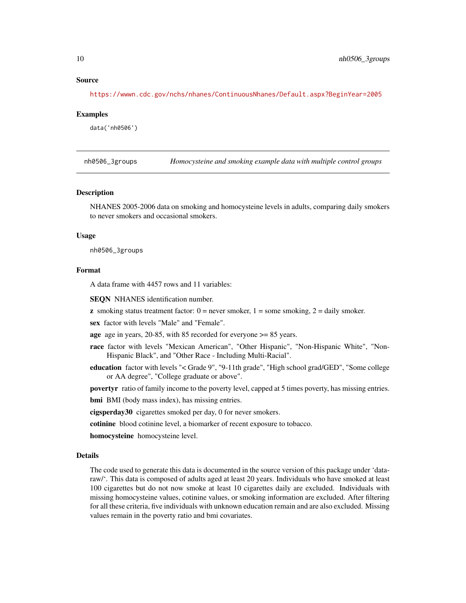#### Source

<https://wwwn.cdc.gov/nchs/nhanes/ContinuousNhanes/Default.aspx?BeginYear=2005>

#### Examples

data('nh0506')

nh0506\_3groups *Homocysteine and smoking example data with multiple control groups*

#### Description

NHANES 2005-2006 data on smoking and homocysteine levels in adults, comparing daily smokers to never smokers and occasional smokers.

#### Usage

nh0506\_3groups

#### Format

A data frame with 4457 rows and 11 variables:

SEQN NHANES identification number.

**z** smoking status treatment factor:  $0 =$  never smoker,  $1 =$  some smoking,  $2 =$  daily smoker.

sex factor with levels "Male" and "Female".

age age in years, 20-85, with 85 recorded for everyone >= 85 years.

- race factor with levels "Mexican American", "Other Hispanic", "Non-Hispanic White", "Non-Hispanic Black", and "Other Race - Including Multi-Racial".
- education factor with levels "< Grade 9", "9-11th grade", "High school grad/GED", "Some college or AA degree", "College graduate or above".

povertyr ratio of family income to the poverty level, capped at 5 times poverty, has missing entries.

bmi BMI (body mass index), has missing entries.

cigsperday30 cigarettes smoked per day, 0 for never smokers.

cotinine blood cotinine level, a biomarker of recent exposure to tobacco.

homocysteine homocysteine level.

#### Details

The code used to generate this data is documented in the source version of this package under 'dataraw/'. This data is composed of adults aged at least 20 years. Individuals who have smoked at least 100 cigarettes but do not now smoke at least 10 cigarettes daily are excluded. Individuals with missing homocysteine values, cotinine values, or smoking information are excluded. After filtering for all these criteria, five individuals with unknown education remain and are also excluded. Missing values remain in the poverty ratio and bmi covariates.

<span id="page-9-0"></span>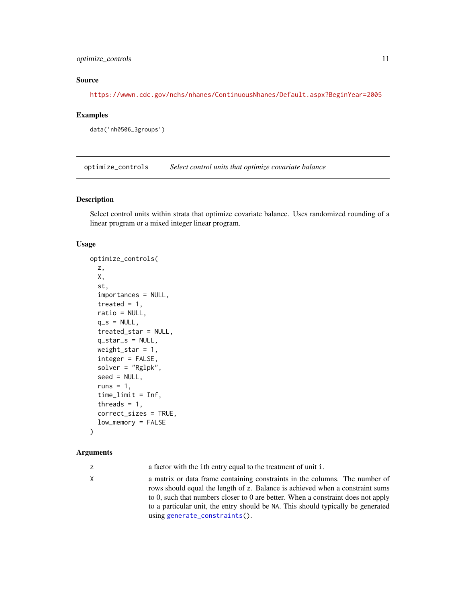#### <span id="page-10-0"></span>optimize\_controls 11

#### Source

<https://wwwn.cdc.gov/nchs/nhanes/ContinuousNhanes/Default.aspx?BeginYear=2005>

#### Examples

```
data('nh0506_3groups')
```
<span id="page-10-1"></span>optimize\_controls *Select control units that optimize covariate balance*

#### Description

Select control units within strata that optimize covariate balance. Uses randomized rounding of a linear program or a mixed integer linear program.

#### Usage

```
optimize_controls(
  z,
 X,
  st,
  importances = NULL,
  treated = 1,
  ratio = NULL,
  q_s = NULL,treated_star = NULL,
  q_star_s = NULL,
 weight_star = 1,
  integer = FALSE,
  solver = "Rglpk",
  seed = NULL,
  runs = 1,
  time_limit = Inf,
  threads = 1,
  correct_sizes = TRUE,
  low_memory = FALSE
```
#### )

#### Arguments

z a factor with the ith entry equal to the treatment of unit i.

X a matrix or data frame containing constraints in the columns. The number of rows should equal the length of z. Balance is achieved when a constraint sums to 0, such that numbers closer to 0 are better. When a constraint does not apply to a particular unit, the entry should be NA. This should typically be generated using [generate\\_constraints\(](#page-4-1)).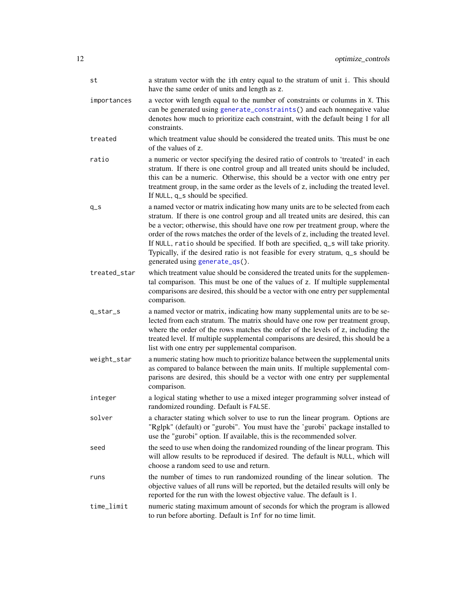<span id="page-11-0"></span>

| st           | a stratum vector with the ith entry equal to the stratum of unit i. This should<br>have the same order of units and length as z.                                                                                                                                                                                                                                                                                                                                                                                                                             |
|--------------|--------------------------------------------------------------------------------------------------------------------------------------------------------------------------------------------------------------------------------------------------------------------------------------------------------------------------------------------------------------------------------------------------------------------------------------------------------------------------------------------------------------------------------------------------------------|
| importances  | a vector with length equal to the number of constraints or columns in X. This<br>can be generated using generate_constraints() and each nonnegative value<br>denotes how much to prioritize each constraint, with the default being 1 for all<br>constraints.                                                                                                                                                                                                                                                                                                |
| treated      | which treatment value should be considered the treated units. This must be one<br>of the values of z.                                                                                                                                                                                                                                                                                                                                                                                                                                                        |
| ratio        | a numeric or vector specifying the desired ratio of controls to 'treated' in each<br>stratum. If there is one control group and all treated units should be included,<br>this can be a numeric. Otherwise, this should be a vector with one entry per<br>treatment group, in the same order as the levels of z, including the treated level.<br>If NULL, q_s should be specified.                                                                                                                                                                            |
| $q_s$        | a named vector or matrix indicating how many units are to be selected from each<br>stratum. If there is one control group and all treated units are desired, this can<br>be a vector; otherwise, this should have one row per treatment group, where the<br>order of the rows matches the order of the levels of z, including the treated level.<br>If NULL, ratio should be specified. If both are specified, q_s will take priority.<br>Typically, if the desired ratio is not feasible for every stratum, q_s should be<br>generated using generate_qs(). |
| treated_star | which treatment value should be considered the treated units for the supplemen-<br>tal comparison. This must be one of the values of z. If multiple supplemental<br>comparisons are desired, this should be a vector with one entry per supplemental<br>comparison.                                                                                                                                                                                                                                                                                          |
| q_star_s     | a named vector or matrix, indicating how many supplemental units are to be se-<br>lected from each stratum. The matrix should have one row per treatment group,<br>where the order of the rows matches the order of the levels of z, including the<br>treated level. If multiple supplemental comparisons are desired, this should be a<br>list with one entry per supplemental comparison.                                                                                                                                                                  |
| weight_star  | a numeric stating how much to prioritize balance between the supplemental units<br>as compared to balance between the main units. If multiple supplemental com-<br>parisons are desired, this should be a vector with one entry per supplemental<br>comparison.                                                                                                                                                                                                                                                                                              |
| integer      | a logical stating whether to use a mixed integer programming solver instead of<br>randomized rounding. Default is FALSE.                                                                                                                                                                                                                                                                                                                                                                                                                                     |
| solver       | a character stating which solver to use to run the linear program. Options are<br>"Rglpk" (default) or "gurobi". You must have the 'gurobi' package installed to<br>use the "gurobi" option. If available, this is the recommended solver.                                                                                                                                                                                                                                                                                                                   |
| seed         | the seed to use when doing the randomized rounding of the linear program. This<br>will allow results to be reproduced if desired. The default is NULL, which will<br>choose a random seed to use and return.                                                                                                                                                                                                                                                                                                                                                 |
| runs         | the number of times to run randomized rounding of the linear solution. The<br>objective values of all runs will be reported, but the detailed results will only be<br>reported for the run with the lowest objective value. The default is 1.                                                                                                                                                                                                                                                                                                                |
| time_limit   | numeric stating maximum amount of seconds for which the program is allowed<br>to run before aborting. Default is Inf for no time limit.                                                                                                                                                                                                                                                                                                                                                                                                                      |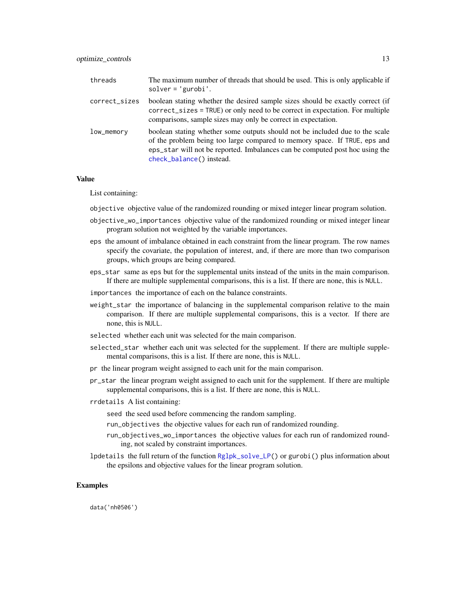<span id="page-12-0"></span>

| threads       | The maximum number of threads that should be used. This is only applicable if<br>$solver = 'gurobi'.$                                                                                                                                                                 |
|---------------|-----------------------------------------------------------------------------------------------------------------------------------------------------------------------------------------------------------------------------------------------------------------------|
| correct_sizes | boolean stating whether the desired sample sizes should be exactly correct (if<br>correct_sizes = TRUE) or only need to be correct in expectation. For multiple<br>comparisons, sample sizes may only be correct in expectation.                                      |
| $low\_memory$ | boolean stating whether some outputs should not be included due to the scale<br>of the problem being too large compared to memory space. If TRUE, eps and<br>eps_star will not be reported. Imbalances can be computed post hoc using the<br>check_balance() instead. |

#### Value

List containing:

objective objective value of the randomized rounding or mixed integer linear program solution.

- objective\_wo\_importances objective value of the randomized rounding or mixed integer linear program solution not weighted by the variable importances.
- eps the amount of imbalance obtained in each constraint from the linear program. The row names specify the covariate, the population of interest, and, if there are more than two comparison groups, which groups are being compared.
- eps\_star same as eps but for the supplemental units instead of the units in the main comparison. If there are multiple supplemental comparisons, this is a list. If there are none, this is NULL.
- importances the importance of each on the balance constraints.
- weight\_star the importance of balancing in the supplemental comparison relative to the main comparison. If there are multiple supplemental comparisons, this is a vector. If there are none, this is NULL.
- selected whether each unit was selected for the main comparison.
- selected\_star whether each unit was selected for the supplement. If there are multiple supplemental comparisons, this is a list. If there are none, this is NULL.
- pr the linear program weight assigned to each unit for the main comparison.
- pr\_star the linear program weight assigned to each unit for the supplement. If there are multiple supplemental comparisons, this is a list. If there are none, this is NULL.
- rrdetails A list containing:
	- seed the seed used before commencing the random sampling.
	- run\_objectives the objective values for each run of randomized rounding.
	- run\_objectives\_wo\_importances the objective values for each run of randomized rounding, not scaled by constraint importances.
- lpdetails the full return of the function [Rglpk\\_solve\\_LP\(](#page-0-0)) or gurobi() plus information about the epsilons and objective values for the linear program solution.

#### Examples

data('nh0506')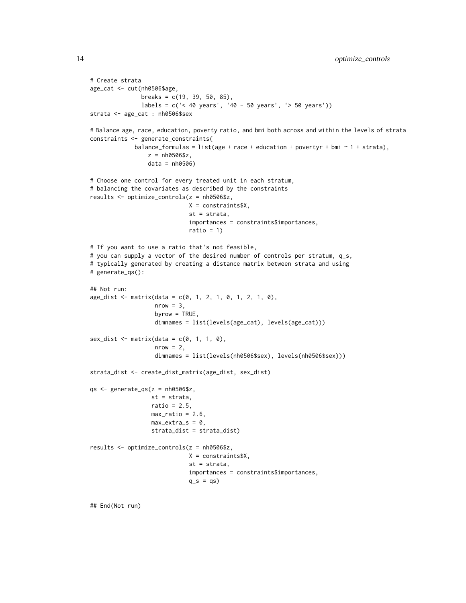```
# Create strata
age_cat <- cut(nh0506$age,
               breaks = c(19, 39, 50, 85),
               labels = c('< 40 years', '40 - 50 years', '> 50 years'))
strata <- age_cat : nh0506$sex
# Balance age, race, education, poverty ratio, and bmi both across and within the levels of strata
constraints <- generate_constraints(
             balance_formulas = list(age + race + education + povertyr + bmi \sim 1 + strata),
                 z = nh0506$z,
                 data = nh0506)
# Choose one control for every treated unit in each stratum,
# balancing the covariates as described by the constraints
results <- optimize_controls(z = nh0506$z,
                             X = constraints$X,
                             st = strata,
                             importances = constraints$importances,
                              ratio = 1)
# If you want to use a ratio that's not feasible,
# you can supply a vector of the desired number of controls per stratum, q_s,
# typically generated by creating a distance matrix between strata and using
# generate_qs():
## Not run:
age\_dist \leq \text{matrix(data = c(0, 1, 2, 1, 0, 1, 2, 1, 0)}nrow = 3,
                   byrow = TRUE,
                   dimnames = list(levels(age_cat), levels(age_cat)))
sex\_dist \leftarrow matrix(data = c(0, 1, 1, 0),nrow = 2,
                   dimnames = list(levels(nh0506$sex), levels(nh0506$sex)))
strata_dist <- create_dist_matrix(age_dist, sex_dist)
qs <- generate_qs(z = nh0506$z,
                  st = strata,
                  ratio = 2.5,
                  max\_ratio = 2.6,
                  max\_extra\_s = 0,
                  strata_dist = strata_dist)
results <- optimize_controls(z = nh0506$z,
                             X = constraints$X,
                             st = strata,
                             importances = constraints$importances,
                             q_s = qs
```
## End(Not run)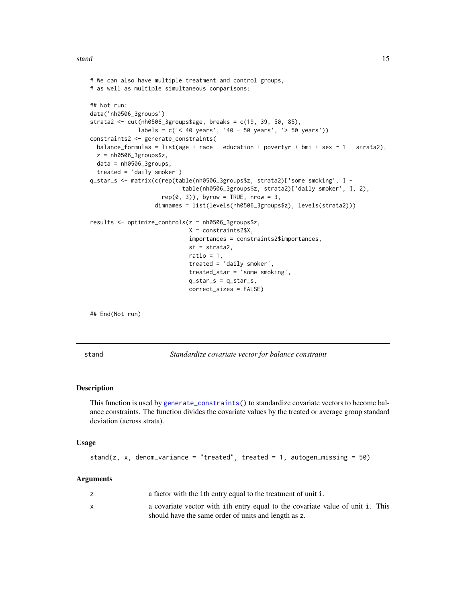#### <span id="page-14-0"></span>stand 15

```
# We can also have multiple treatment and control groups,
# as well as multiple simultaneous comparisons:
## Not run:
data('nh0506_3groups')
strata2 <- cut(nh0506_3groups$age, breaks = c(19, 39, 50, 85),
             labels = c('< 40 years', '40 - 50 years', '> 50 years'))
constraints2 <- generate_constraints(
 balance_formulas = list(age + race + education + povertyr + bmi + sex \sim 1 + strata2),
 z = nh0506_3groups$z,
 data = nh0506_3groups,
 treated = 'daily smoker')
q_star_s <- matrix(c(rep(table(nh0506_3groups$z, strata2)['some smoking', ] -
                           table(nh0506_3groups$z, strata2)['daily smoker', ], 2),
                     rep(0, 3), byrow = TRUE, nrow = 3,
                   dimnames = list(levels(nh0506_3groups$z), levels(strata2)))
results <- optimize_controls(z = nh0506_3groups$z,
                             X = constraints2$X,
                             importances = constraints2$importances,
                             st = strata2,
                             ratio = 1,
                             treated = 'daily smoker',
                             treated_star = 'some smoking',
                             q_star_s = q_star_s,
                             correct_sizes = FALSE)
```
## End(Not run)

<span id="page-14-1"></span>stand *Standardize covariate vector for balance constraint*

#### Description

This function is used by [generate\\_constraints\(](#page-4-1)) to standardize covariate vectors to become balance constraints. The function divides the covariate values by the treated or average group standard deviation (across strata).

#### Usage

```
stand(z, x, denom_variance = "treated", treated = 1, autogen_missing = 50)
```
#### Arguments

|   | a factor with the ith entry equal to the treatment of unit i.                                                                          |
|---|----------------------------------------------------------------------------------------------------------------------------------------|
| x | a covariate vector with ith entry equal to the covariate value of unit i. This<br>should have the same order of units and length as z. |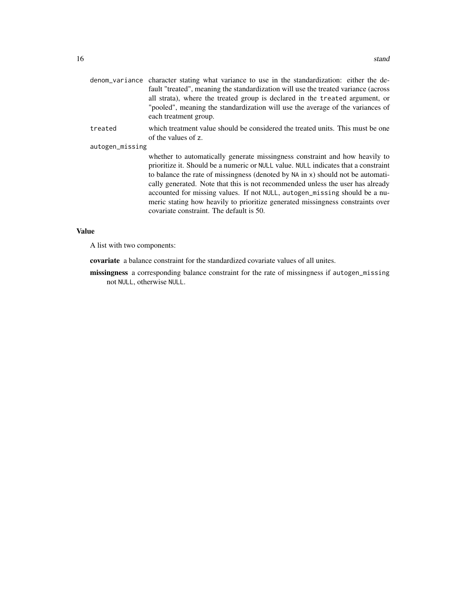| denom variance character stating what variance to use in the standardization: either the de- |
|----------------------------------------------------------------------------------------------|
| fault "treated", meaning the standardization will use the treated variance (across           |
| all strata), where the treated group is declared in the treated argument, or                 |
| "pooled", meaning the standardization will use the average of the variances of               |
| each treatment group.                                                                        |
|                                                                                              |

treated which treatment value should be considered the treated units. This must be one of the values of z.

autogen\_missing

whether to automatically generate missingness constraint and how heavily to prioritize it. Should be a numeric or NULL value. NULL indicates that a constraint to balance the rate of missingness (denoted by NA in x) should not be automatically generated. Note that this is not recommended unless the user has already accounted for missing values. If not NULL, autogen\_missing should be a numeric stating how heavily to prioritize generated missingness constraints over covariate constraint. The default is 50.

#### Value

A list with two components:

covariate a balance constraint for the standardized covariate values of all unites.

missingness a corresponding balance constraint for the rate of missingness if autogen\_missing not NULL, otherwise NULL.